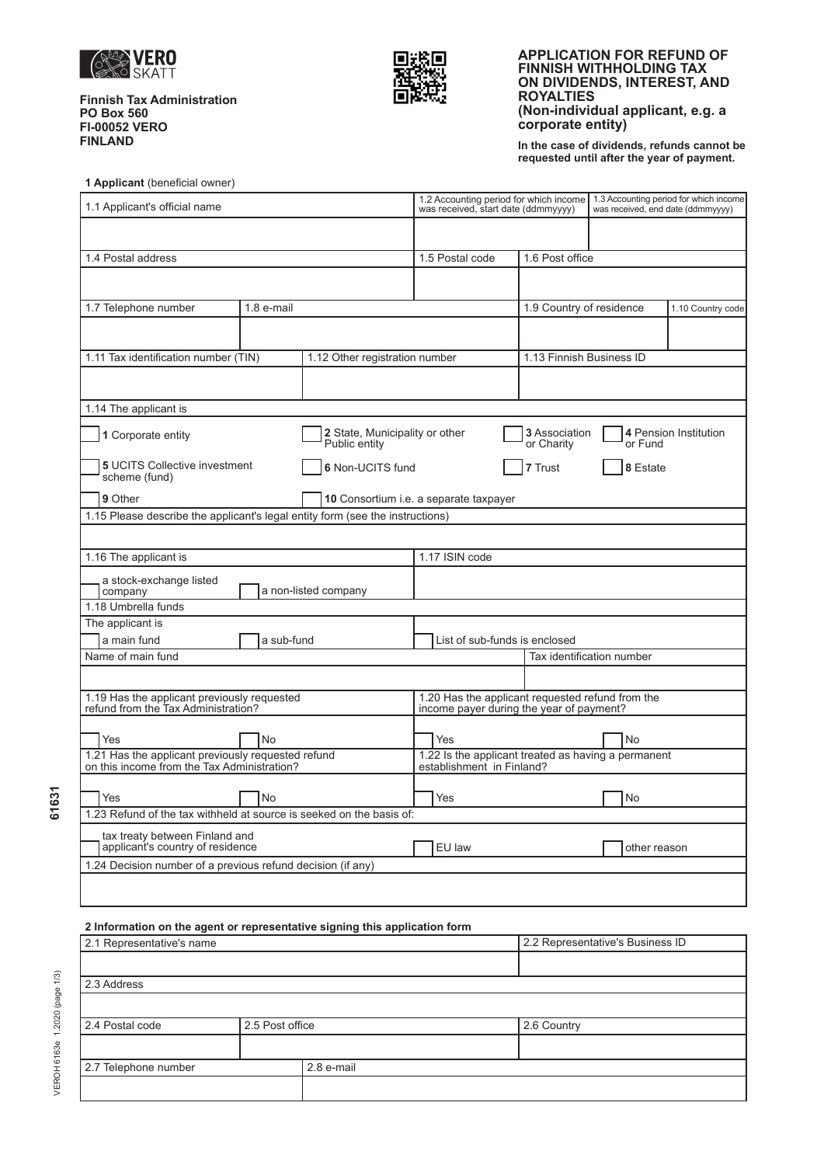

**Finnish Tax Administration PO Box 560 FI-00052 VERO FINLAND** 



### **APPLICATION FOR REFUND OF FINNISH WITHHOLDING TAX ON DIVIDENDS, INTEREST, AND ROYALTIES (Non-individual applicant, e.g. a corporate entity)**

**In the case of dividends, refunds cannot be requested until after the year of payment.** 

| 1 Applicant (beneficial owner) |  |
|--------------------------------|--|
|--------------------------------|--|

| 1.1 Applicant's official name                                                                     |                                |                                                 | 1.2 Accounting period for which income<br>1.3 Accounting period for which income<br>was received, end date (ddmmyyyy)<br>was received, start date (ddmmyyyy) |                             |                          |                       |  |
|---------------------------------------------------------------------------------------------------|--------------------------------|-------------------------------------------------|--------------------------------------------------------------------------------------------------------------------------------------------------------------|-----------------------------|--------------------------|-----------------------|--|
|                                                                                                   |                                |                                                 |                                                                                                                                                              |                             |                          |                       |  |
| 1.4 Postal address                                                                                |                                |                                                 | 1.5 Postal code                                                                                                                                              | 1.6 Post office             |                          |                       |  |
|                                                                                                   |                                |                                                 |                                                                                                                                                              |                             |                          |                       |  |
| 1.7 Telephone number                                                                              | 1.8 e-mail                     |                                                 |                                                                                                                                                              |                             | 1.9 Country of residence | 1.10 Country code     |  |
|                                                                                                   |                                |                                                 |                                                                                                                                                              |                             |                          |                       |  |
| 1.11 Tax identification number (TIN)                                                              | 1.12 Other registration number | 1.13 Finnish Business ID                        |                                                                                                                                                              |                             |                          |                       |  |
|                                                                                                   |                                |                                                 |                                                                                                                                                              |                             |                          |                       |  |
| 1.14 The applicant is                                                                             |                                |                                                 |                                                                                                                                                              |                             |                          |                       |  |
| 1 Corporate entity                                                                                |                                | 2 State, Municipality or other<br>Public entity |                                                                                                                                                              | 3 Association<br>or Charity | or Fund                  | 4 Pension Institution |  |
| <b>5 UCITS Collective investment</b><br>scheme (fund)                                             | 6 Non-UCITS fund               |                                                 | 7 Trust                                                                                                                                                      | 8 Estate                    |                          |                       |  |
| 9 Other                                                                                           |                                |                                                 | 10 Consortium i.e. a separate taxpayer                                                                                                                       |                             |                          |                       |  |
| 1.15 Please describe the applicant's legal entity form (see the instructions)                     |                                |                                                 |                                                                                                                                                              |                             |                          |                       |  |
|                                                                                                   |                                |                                                 |                                                                                                                                                              |                             |                          |                       |  |
| 1.16 The applicant is                                                                             |                                |                                                 | 1.17 ISIN code                                                                                                                                               |                             |                          |                       |  |
| a stock-exchange listed<br>company                                                                |                                | a non-listed company                            |                                                                                                                                                              |                             |                          |                       |  |
| 1.18 Umbrella funds                                                                               |                                |                                                 |                                                                                                                                                              |                             |                          |                       |  |
| The applicant is                                                                                  |                                |                                                 |                                                                                                                                                              |                             |                          |                       |  |
| a main fund                                                                                       | a sub-fund                     |                                                 | List of sub-funds is enclosed<br>Tax identification number                                                                                                   |                             |                          |                       |  |
| Name of main fund                                                                                 |                                |                                                 |                                                                                                                                                              |                             |                          |                       |  |
|                                                                                                   |                                |                                                 |                                                                                                                                                              |                             |                          |                       |  |
| 1.19 Has the applicant previously requested<br>refund from the Tax Administration?                |                                |                                                 | 1.20 Has the applicant requested refund from the<br>income payer during the year of payment?                                                                 |                             |                          |                       |  |
| Yes                                                                                               | No                             |                                                 | Yes                                                                                                                                                          |                             | <b>No</b>                |                       |  |
| 1.21 Has the applicant previously requested refund<br>on this income from the Tax Administration? |                                |                                                 | 1.22 Is the applicant treated as having a permanent<br>establishment in Finland?                                                                             |                             |                          |                       |  |
|                                                                                                   |                                |                                                 |                                                                                                                                                              |                             |                          |                       |  |
| Yes                                                                                               | No                             |                                                 |                                                                                                                                                              |                             | No                       |                       |  |
| 1.23 Refund of the tax withheld at source is seeked on the basis of:                              |                                |                                                 |                                                                                                                                                              |                             |                          |                       |  |
| tax treaty between Finland and<br>applicant's country of residence                                |                                |                                                 | EU law                                                                                                                                                       |                             | other reason             |                       |  |
| 1.24 Decision number of a previous refund decision (if any)                                       |                                |                                                 |                                                                                                                                                              |                             |                          |                       |  |
|                                                                                                   |                                |                                                 |                                                                                                                                                              |                             |                          |                       |  |

# **2 Information on the agent or representative signing this application form**

| 2.1 Representative's name |                 |            | 2.2 Representative's Business ID |
|---------------------------|-----------------|------------|----------------------------------|
|                           |                 |            |                                  |
| 2.3 Address               |                 |            |                                  |
|                           |                 |            |                                  |
| 2.4 Postal code           | 2.5 Post office |            | 2.6 Country                      |
|                           |                 |            |                                  |
| 2.7 Telephone number      |                 | 2.8 e-mail |                                  |
|                           |                 |            |                                  |

VEROH 6163e 1.2020 (page 1/3) **61631** 61631

VEROH 6163e 1.2020 (page 1/3)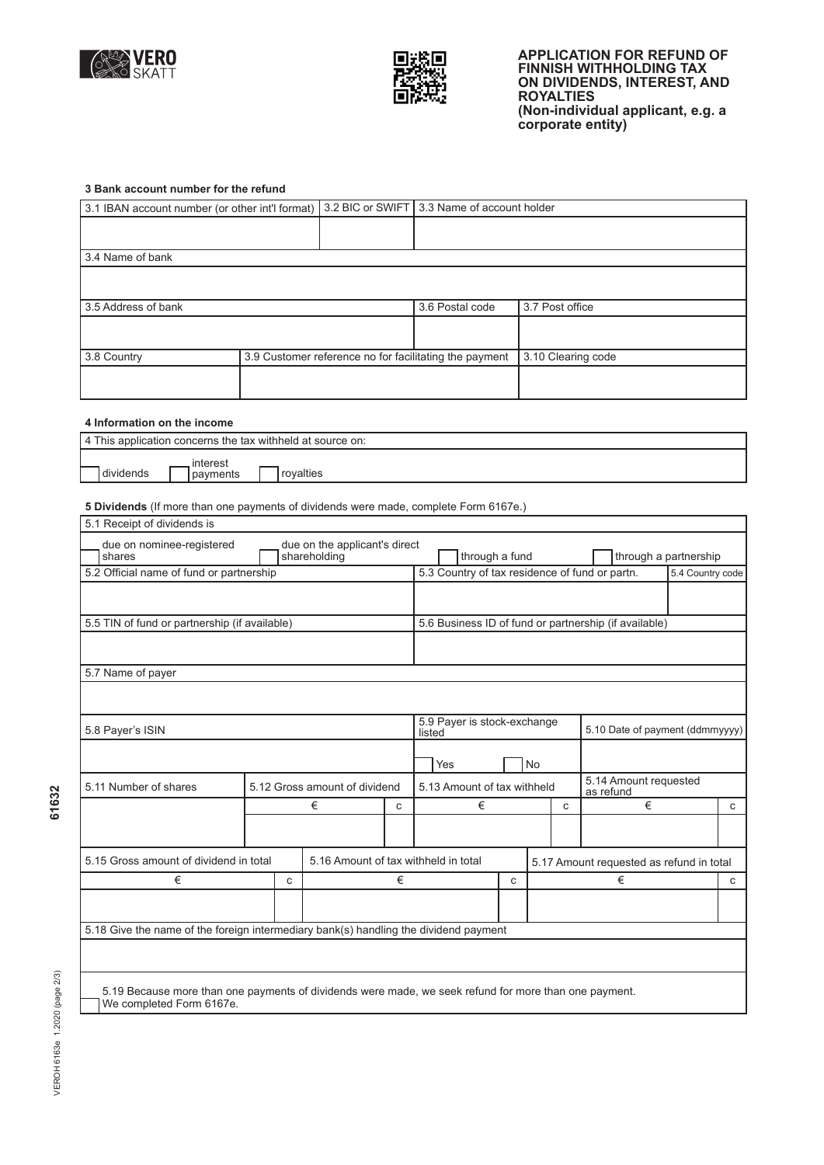



## **3 Bank account number for the refund**

| 3.1 IBAN account number (or other int'l format) | 3.2 BIC or SWIFT 3.3 Name of account holder |                                                        |                    |  |  |
|-------------------------------------------------|---------------------------------------------|--------------------------------------------------------|--------------------|--|--|
|                                                 |                                             |                                                        |                    |  |  |
| 3.4 Name of bank                                |                                             |                                                        |                    |  |  |
|                                                 |                                             |                                                        |                    |  |  |
| 3.5 Address of bank                             |                                             | 3.6 Postal code                                        | 3.7 Post office    |  |  |
|                                                 |                                             |                                                        |                    |  |  |
| 3.8 Country                                     |                                             | 3.9 Customer reference no for facilitating the payment | 3.10 Clearing code |  |  |
|                                                 |                                             |                                                        |                    |  |  |

# **4 Information on the income**

| 4 This application concerns the tax withheld at source on: |                      |           |  |  |  |  |  |  |
|------------------------------------------------------------|----------------------|-----------|--|--|--|--|--|--|
| dividends                                                  | interest<br>payments | rovalties |  |  |  |  |  |  |

### **5 Dividends** (If more than one payments of dividends were made, complete Form 6167e.)

| 5.1 Receipt of dividends is                                                                                                       |  |   |                                               |   |                                                |                             |   |    |                                                       |                  |              |
|-----------------------------------------------------------------------------------------------------------------------------------|--|---|-----------------------------------------------|---|------------------------------------------------|-----------------------------|---|----|-------------------------------------------------------|------------------|--------------|
| due on nominee-registered<br>shares                                                                                               |  |   | due on the applicant's direct<br>shareholding |   |                                                | through a fund              |   |    | through a partnership                                 |                  |              |
| 5.2 Official name of fund or partnership                                                                                          |  |   |                                               |   | 5.3 Country of tax residence of fund or partn. |                             |   |    |                                                       | 5.4 Country code |              |
|                                                                                                                                   |  |   |                                               |   |                                                |                             |   |    |                                                       |                  |              |
| 5.5 TIN of fund or partnership (if available)                                                                                     |  |   |                                               |   |                                                |                             |   |    | 5.6 Business ID of fund or partnership (if available) |                  |              |
|                                                                                                                                   |  |   |                                               |   |                                                |                             |   |    |                                                       |                  |              |
|                                                                                                                                   |  |   |                                               |   |                                                |                             |   |    |                                                       |                  |              |
| 5.7 Name of payer                                                                                                                 |  |   |                                               |   |                                                |                             |   |    |                                                       |                  |              |
|                                                                                                                                   |  |   |                                               |   |                                                |                             |   |    |                                                       |                  |              |
|                                                                                                                                   |  |   |                                               |   |                                                | 5.9 Payer is stock-exchange |   |    |                                                       |                  |              |
| 5.8 Payer's ISIN                                                                                                                  |  |   |                                               |   | listed                                         |                             |   |    | 5.10 Date of payment (ddmmyyyy)                       |                  |              |
|                                                                                                                                   |  |   |                                               |   |                                                | Yes                         |   | No |                                                       |                  |              |
| 5.11 Number of shares                                                                                                             |  |   | 5.12 Gross amount of dividend                 |   | 5.13 Amount of tax withheld                    |                             |   |    | 5.14 Amount requested<br>as refund                    |                  |              |
|                                                                                                                                   |  |   | €                                             | C |                                                | €                           |   | C  | €                                                     |                  | $\mathtt{C}$ |
|                                                                                                                                   |  |   |                                               |   |                                                |                             |   |    |                                                       |                  |              |
| 5.15 Gross amount of dividend in total                                                                                            |  |   | 5.16 Amount of tax withheld in total          |   |                                                |                             |   |    | 5.17 Amount requested as refund in total              |                  |              |
| €                                                                                                                                 |  | C |                                               | € |                                                |                             | C |    | €                                                     |                  | C            |
|                                                                                                                                   |  |   |                                               |   |                                                |                             |   |    |                                                       |                  |              |
|                                                                                                                                   |  |   |                                               |   |                                                |                             |   |    |                                                       |                  |              |
| 5.18 Give the name of the foreign intermediary bank(s) handling the dividend payment                                              |  |   |                                               |   |                                                |                             |   |    |                                                       |                  |              |
|                                                                                                                                   |  |   |                                               |   |                                                |                             |   |    |                                                       |                  |              |
|                                                                                                                                   |  |   |                                               |   |                                                |                             |   |    |                                                       |                  |              |
| 5.19 Because more than one payments of dividends were made, we seek refund for more than one payment.<br>We completed Form 6167e. |  |   |                                               |   |                                                |                             |   |    |                                                       |                  |              |
|                                                                                                                                   |  |   |                                               |   |                                                |                             |   |    |                                                       |                  |              |